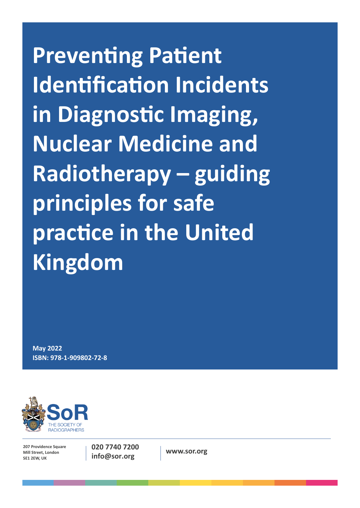**Preventing Patient Identification Incidents in Diagnostic Imaging, Nuclear Medicine and Radiotherapy – guiding principles for safe practice in the United Kingdom**

**May 2022 ISBN: 978-1-909802-72-8**



**207 Providence Square Mill Street, London SE1 2EW, UK**

**020 7740 7200 info@sor.org www.sor.org**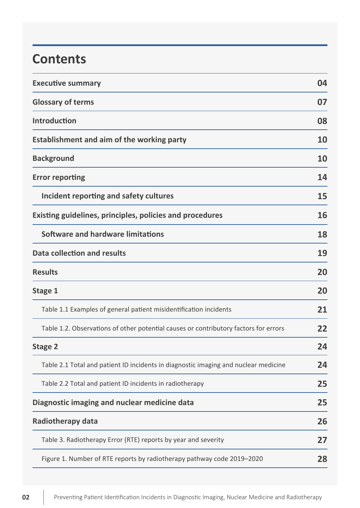# **Contents**

| <b>Executive summary</b>                                                             | 04 |
|--------------------------------------------------------------------------------------|----|
| <b>Glossary of terms</b>                                                             | 07 |
| <b>Introduction</b>                                                                  | 08 |
| <b>Establishment and aim of the working party</b>                                    | 10 |
| <b>Background</b>                                                                    | 10 |
| <b>Error reporting</b>                                                               | 14 |
| Incident reporting and safety cultures                                               | 15 |
| Existing guidelines, principles, policies and procedures                             | 16 |
| Software and hardware limitations                                                    | 18 |
| Data collection and results                                                          | 19 |
| <b>Results</b>                                                                       | 20 |
| <b>Stage 1</b>                                                                       | 20 |
| Table 1.1 Examples of general patient misidentification incidents                    | 21 |
| Table 1.2. Observations of other potential causes or contributory factors for errors | 22 |
| <b>Stage 2</b>                                                                       | 24 |
| Table 2.1 Total and patient ID incidents in diagnostic imaging and nuclear medicine  | 24 |
| Table 2.2 Total and patient ID incidents in radiotherapy                             | 25 |
| Diagnostic imaging and nuclear medicine data                                         | 25 |
| <b>Radiotherapy data</b>                                                             | 26 |
| Table 3. Radiotherapy Error (RTE) reports by year and severity                       | 27 |
| Figure 1. Number of RTE reports by radiotherapy pathway code 2019-2020               | 28 |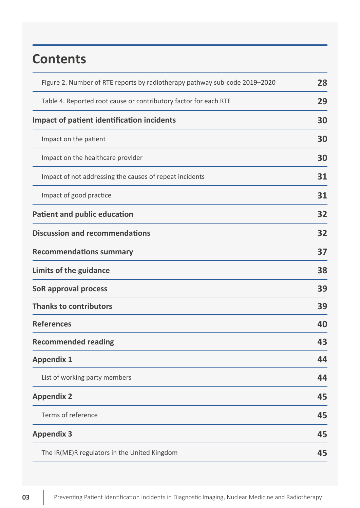# **Contents**

| Figure 2. Number of RTE reports by radiotherapy pathway sub-code 2019-2020 |    |  |
|----------------------------------------------------------------------------|----|--|
| Table 4. Reported root cause or contributory factor for each RTE           |    |  |
| <b>Impact of patient identification incidents</b>                          | 30 |  |
| Impact on the patient                                                      | 30 |  |
| Impact on the healthcare provider                                          | 30 |  |
| Impact of not addressing the causes of repeat incidents                    | 31 |  |
| Impact of good practice                                                    | 31 |  |
| <b>Patient and public education</b>                                        | 32 |  |
| <b>Discussion and recommendations</b>                                      | 32 |  |
| <b>Recommendations summary</b>                                             |    |  |
| Limits of the guidance                                                     |    |  |
| SoR approval process                                                       | 39 |  |
| <b>Thanks to contributors</b>                                              | 39 |  |
| <b>References</b>                                                          | 40 |  |
| <b>Recommended reading</b>                                                 | 43 |  |
| <b>Appendix 1</b>                                                          | 44 |  |
| List of working party members                                              | 44 |  |
| <b>Appendix 2</b>                                                          | 45 |  |
| Terms of reference                                                         | 45 |  |
| <b>Appendix 3</b>                                                          | 45 |  |
| The IR(ME)R regulators in the United Kingdom                               |    |  |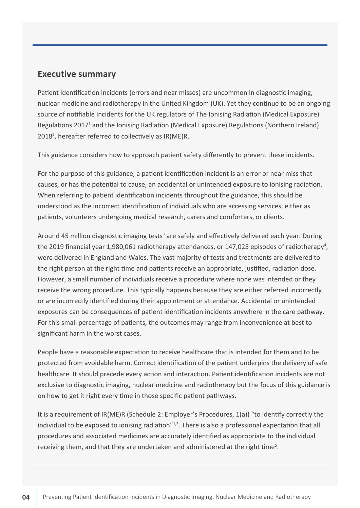### <span id="page-3-0"></span>**Executive summary**

Patient identification incidents (errors and near misses) are uncommon in diagnostic imaging, nuclear medicine and radiotherapy in the United Kingdom (UK). Yet they continue to be an ongoing source of notifiable incidents for the UK regulators of The Ionising Radiation (Medical Exposure) Regulations 2017<sup>1</sup> and the Ionising Radiation (Medical Exposure) Regulations (Northern Ireland) 2018<sup>2</sup>, hereafter referred to collectively as IR(ME)R.

This guidance considers how to approach patient safety differently to prevent these incidents.

For the purpose of this guidance, a patient identification incident is an error or near miss that causes, or has the potential to cause, an accidental or unintended exposure to ionising radiation. When referring to patient identification incidents throughout the guidance, this should be understood as the incorrect identification of individuals who are accessing services, either as patients, volunteers undergoing medical research, carers and comforters, or clients.

Around 45 million diagnostic imaging tests<sup>3</sup> are safely and effectively delivered each year. During the 2019 financial year 1,980,061 radiotherapy attendances, or 147,025 episodes of radiotherapy<sup>4</sup>, were delivered in England and Wales. The vast majority of tests and treatments are delivered to the right person at the right time and patients receive an appropriate, justified, radiation dose. However, a small number of individuals receive a procedure where none was intended or they receive the wrong procedure. This typically happens because they are either referred incorrectly or are incorrectly identified during their appointment or attendance. Accidental or unintended exposures can be consequences of patient identification incidents anywhere in the care pathway. For this small percentage of patients, the outcomes may range from inconvenience at best to significant harm in the worst cases.

People have a reasonable expectation to receive healthcare that is intended for them and to be protected from avoidable harm. Correct identification of the patient underpins the delivery of safe healthcare. It should precede every action and interaction. Patient identification incidents are not exclusive to diagnostic imaging, nuclear medicine and radiotherapy but the focus of this guidance is on how to get it right every time in those specific patient pathways.

It is a requirement of IR(ME)R (Schedule 2: Employer's Procedures, 1(a)) "to identify correctly the individual to be exposed to ionising radiation"<sup>1,2</sup>. There is also a professional expectation that all procedures and associated medicines are accurately identified as appropriate to the individual receiving them, and that they are undertaken and administered at the right time<sup>5</sup>.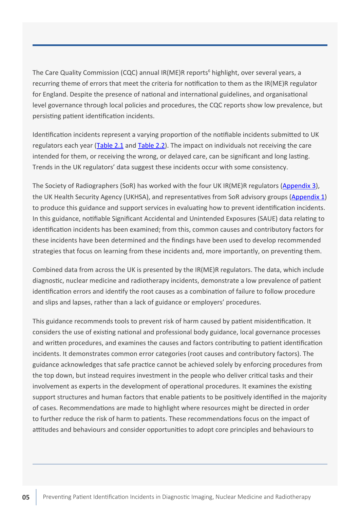The Care Quality Commission (CQC) annual IR(ME)R reports<sup>6</sup> highlight, over several years, a recurring theme of errors that meet the criteria for notification to them as the IR(ME)R regulator for England. Despite the presence of national and international guidelines, and organisational level governance through local policies and procedures, the CQC reports show low prevalence, but persisting patient identification incidents.

Identification incidents represent a varying proportion of the notifiable incidents submitted to UK regulators each year ([Table 2.1](#page-20-0) and [Table 2.2](#page-21-0)). The impact on individuals not receiving the care intended for them, or receiving the wrong, or delayed care, can be significant and long lasting. Trends in the UK regulators' data suggest these incidents occur with some consistency.

The Society of Radiographers (SoR) has worked with the four UK IR(ME)R regulators ([Appendix 3](#page-44-0)), the UK Health Security Agency (UKHSA), and representatives from SoR advisory groups [\(Appendix 1](#page-43-0)) to produce this guidance and support services in evaluating how to prevent identification incidents. In this guidance, notifiable Significant Accidental and Unintended Exposures (SAUE) data relating to identification incidents has been examined; from this, common causes and contributory factors for these incidents have been determined and the findings have been used to develop recommended strategies that focus on learning from these incidents and, more importantly, on preventing them.

Combined data from across the UK is presented by the IR(ME)R regulators. The data, which include diagnostic, nuclear medicine and radiotherapy incidents, demonstrate a low prevalence of patient identification errors and identify the root causes as a combination of failure to follow procedure and slips and lapses, rather than a lack of guidance or employers' procedures.

This guidance recommends tools to prevent risk of harm caused by patient misidentification. It considers the use of existing national and professional body guidance, local governance processes and written procedures, and examines the causes and factors contributing to patient identification incidents. It demonstrates common error categories (root causes and contributory factors). The guidance acknowledges that safe practice cannot be achieved solely by enforcing procedures from the top down, but instead requires investment in the people who deliver critical tasks and their involvement as experts in the development of operational procedures. It examines the existing support structures and human factors that enable patients to be positively identified in the majority of cases. Recommendations are made to highlight where resources might be directed in order to further reduce the risk of harm to patients. These recommendations focus on the impact of attitudes and behaviours and consider opportunities to adopt core principles and behaviours to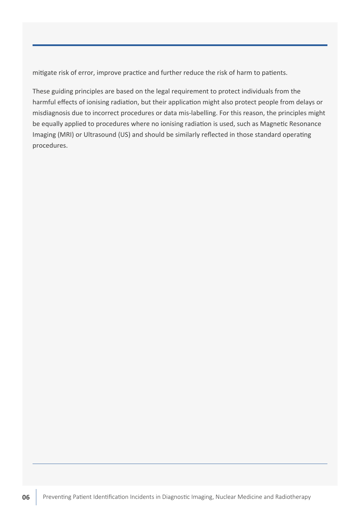mitigate risk of error, improve practice and further reduce the risk of harm to patients.

These guiding principles are based on the legal requirement to protect individuals from the harmful effects of ionising radiation, but their application might also protect people from delays or misdiagnosis due to incorrect procedures or data mis-labelling. For this reason, the principles might be equally applied to procedures where no ionising radiation is used, such as Magnetic Resonance Imaging (MRI) or Ultrasound (US) and should be similarly reflected in those standard operating procedures.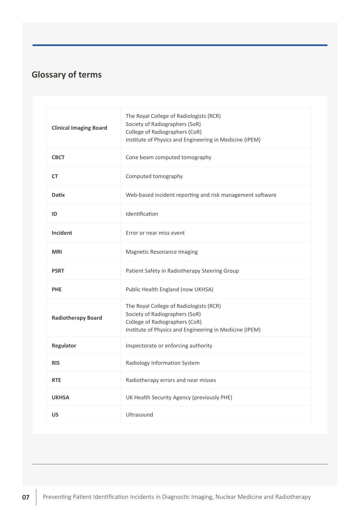# <span id="page-6-0"></span>**Glossary of terms**

| <b>Clinical Imaging Board</b> | The Royal College of Radiologists (RCR)<br>Society of Radiographers (SoR)<br>College of Radiographers (CoR)<br>Institute of Physics and Engineering in Medicine (IPEM) |
|-------------------------------|------------------------------------------------------------------------------------------------------------------------------------------------------------------------|
| <b>CBCT</b>                   | Cone beam computed tomography                                                                                                                                          |
| <b>CT</b>                     | Computed tomography                                                                                                                                                    |
| <b>Datix</b>                  | Web-based incident reporting and risk management software                                                                                                              |
| ID                            | Identification                                                                                                                                                         |
| <b>Incident</b>               | Error or near miss event                                                                                                                                               |
| <b>MRI</b>                    | Magnetic Resonance Imaging                                                                                                                                             |
| <b>PSRT</b>                   | Patient Safety in Radiotherapy Steering Group                                                                                                                          |
| <b>PHE</b>                    | Public Health England (now UKHSA)                                                                                                                                      |
| <b>Radiotherapy Board</b>     | The Royal College of Radiologists (RCR)<br>Society of Radiographers (SoR)<br>College of Radiographers (CoR)<br>Institute of Physics and Engineering in Medicine (IPEM) |
| Regulator                     | Inspectorate or enforcing authority                                                                                                                                    |
| <b>RIS</b>                    | Radiology Information System                                                                                                                                           |
| <b>RTE</b>                    | Radiotherapy errors and near misses                                                                                                                                    |
| <b>UKHSA</b>                  | UK Health Security Agency (previously PHE)                                                                                                                             |
| <b>US</b>                     | Ultrasound                                                                                                                                                             |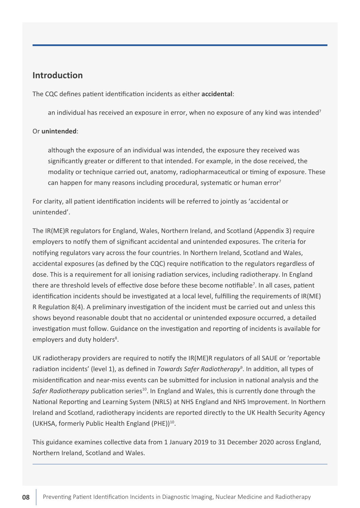### <span id="page-7-0"></span>**Introduction**

The CQC defines patient identification incidents as either **accidental**:

an individual has received an exposure in error, when no exposure of any kind was intended<sup>7</sup>

#### Or **unintended**:

although the exposure of an individual was intended, the exposure they received was significantly greater or different to that intended. For example, in the dose received, the modality or technique carried out, anatomy, radiopharmaceutical or timing of exposure. These can happen for many reasons including procedural, systematic or human error<sup>7</sup>

For clarity, all patient identification incidents will be referred to jointly as 'accidental or unintended'.

The IR(ME)R regulators for England, Wales, Northern Ireland, and Scotland (Appendix 3) require employers to notify them of significant accidental and unintended exposures. The criteria for notifying regulators vary across the four countries. In Northern Ireland, Scotland and Wales, accidental exposures (as defined by the CQC) require notification to the regulators regardless of dose. This is a requirement for all ionising radiation services, including radiotherapy. In England there are threshold levels of effective dose before these become notifiable<sup>7</sup>. In all cases, patient identification incidents should be investigated at a local level, fulfilling the requirements of IR(ME) R Regulation 8(4). A preliminary investigation of the incident must be carried out and unless this shows beyond reasonable doubt that no accidental or unintended exposure occurred, a detailed investigation must follow. Guidance on the investigation and reporting of incidents is available for employers and duty holders<sup>8</sup>.

UK radiotherapy providers are required to notify the IR(ME)R regulators of all SAUE or 'reportable radiation incidents' (level 1), as defined in *Towards Safer Radiotherapy*<sup>9</sup>. In addition, all types of misidentification and near-miss events can be submitted for inclusion in national analysis and the *Safer Radiotherapy* publication series<sup>10</sup>. In England and Wales, this is currently done through the National Reporting and Learning System (NRLS) at NHS England and NHS Improvement. In Northern Ireland and Scotland, radiotherapy incidents are reported directly to the UK Health Security Agency (UKHSA, formerly Public Health England (PHE))10.

This guidance examines collective data from 1 January 2019 to 31 December 2020 across England, Northern Ireland, Scotland and Wales.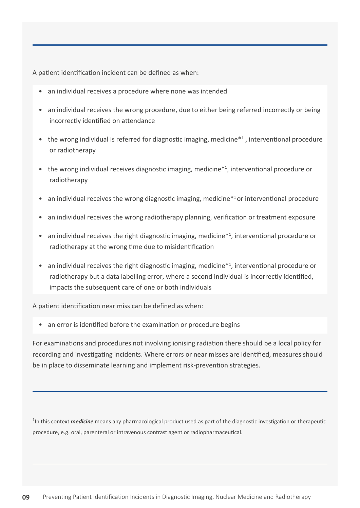A patient identification incident can be defined as when:

- an individual receives a procedure where none was intended
- an individual receives the wrong procedure, due to either being referred incorrectly or being incorrectly identified on attendance
- the wrong individual is referred for diagnostic imaging, medicine<sup>\*1</sup>, interventional procedure or radiotherapy
- the wrong individual receives diagnostic imaging, medicine<sup>\*1</sup>, interventional procedure or radiotherapy
- an individual receives the wrong diagnostic imaging, medicine<sup>\*1</sup> or interventional procedure
- an individual receives the wrong radiotherapy planning, verification or treatment exposure
- an individual receives the right diagnostic imaging, medicine<sup>\*1</sup>, interventional procedure or radiotherapy at the wrong time due to misidentification
- an individual receives the right diagnostic imaging, medicine<sup>\*1</sup>, interventional procedure or radiotherapy but a data labelling error, where a second individual is incorrectly identified, impacts the subsequent care of one or both individuals

A patient identification near miss can be defined as when:

• an error is identified before the examination or procedure begins

For examinations and procedures not involving ionising radiation there should be a local policy for recording and investigating incidents. Where errors or near misses are identified, measures should be in place to disseminate learning and implement risk-prevention strategies.

<sup>1</sup>In this context *medicine* means any pharmacological product used as part of the diagnostic investigation or therapeutic procedure, e.g. oral, parenteral or intravenous contrast agent or radiopharmaceutical.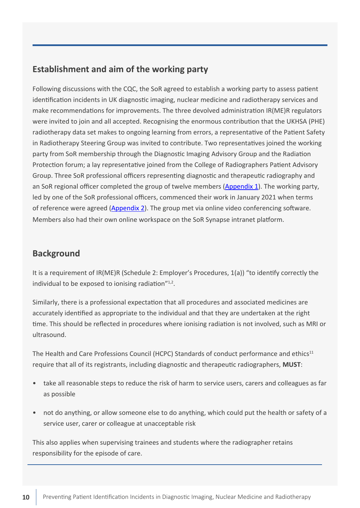## <span id="page-9-0"></span>**Establishment and aim of the working party**

Following discussions with the CQC, the SoR agreed to establish a working party to assess patient identification incidents in UK diagnostic imaging, nuclear medicine and radiotherapy services and make recommendations for improvements. The three devolved administration IR(ME)R regulators were invited to join and all accepted. Recognising the enormous contribution that the UKHSA (PHE) radiotherapy data set makes to ongoing learning from errors, a representative of the Patient Safety in Radiotherapy Steering Group was invited to contribute. Two representatives joined the working party from SoR membership through the Diagnostic Imaging Advisory Group and the Radiation Protection forum; a lay representative joined from the College of Radiographers Patient Advisory Group. Three SoR professional officers representing diagnostic and therapeutic radiography and an SoR regional officer completed the group of twelve members [\(Appendix 1](#page-43-0)). The working party, led by one of the SoR professional officers, commenced their work in January 2021 when terms of reference were agreed [\(Appendix 2](#page-44-0)). The group met via online video conferencing software. Members also had their own online workspace on the SoR Synapse intranet platform.

#### **Background**

It is a requirement of IR(ME)R (Schedule 2: Employer's Procedures, 1(a)) "to identify correctly the individual to be exposed to ionising radiation"<sup>1,2</sup>.

Similarly, there is a professional expectation that all procedures and associated medicines are accurately identified as appropriate to the individual and that they are undertaken at the right time. This should be reflected in procedures where ionising radiation is not involved, such as MRI or ultrasound.

The Health and Care Professions Council (HCPC) Standards of conduct performance and ethics<sup>11</sup> require that all of its registrants, including diagnostic and therapeutic radiographers, **MUST**:

- take all reasonable steps to reduce the risk of harm to service users, carers and colleagues as far as possible
- not do anything, or allow someone else to do anything, which could put the health or safety of a service user, carer or colleague at unacceptable risk

This also applies when supervising trainees and students where the radiographer retains responsibility for the episode of care.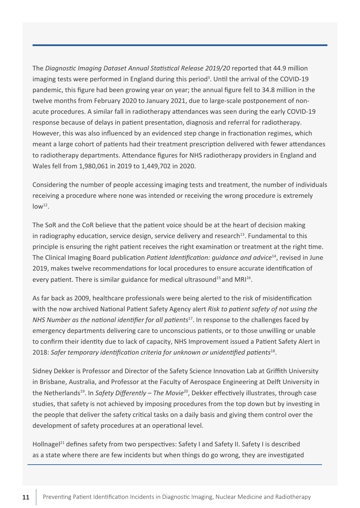The *Diagnostic Imaging Dataset Annual Statistical Release 2019/20* reported that 44.9 million imaging tests were performed in England during this period<sup>3</sup>. Until the arrival of the COVID-19 pandemic, this figure had been growing year on year; the annual figure fell to 34.8 million in the twelve months from February 2020 to January 2021, due to large-scale postponement of nonacute procedures. A similar fall in radiotherapy attendances was seen during the early COVID-19 response because of delays in patient presentation, diagnosis and referral for radiotherapy. However, this was also influenced by an evidenced step change in fractionation regimes, which meant a large cohort of patients had their treatment prescription delivered with fewer attendances to radiotherapy departments. Attendance figures for NHS radiotherapy providers in England and Wales fell from 1,980,061 in 2019 to 1,449,702 in 2020.

Considering the number of people accessing imaging tests and treatment, the number of individuals receiving a procedure where none was intended or receiving the wrong procedure is extremely  $low<sup>12</sup>$ .

The SoR and the CoR believe that the patient voice should be at the heart of decision making in radiography education, service design, service delivery and research<sup>13</sup>. Fundamental to this principle is ensuring the right patient receives the right examination or treatment at the right time. The Clinical Imaging Board publication *Patient Identification: guidance and advice*<sup>14</sup>, revised in June 2019, makes twelve recommendations for local procedures to ensure accurate identification of every patient. There is similar guidance for medical ultrasound<sup>15</sup> and MRI<sup>16</sup>.

As far back as 2009, healthcare professionals were being alerted to the risk of misidentification with the now archived National Patient Safety Agency alert *Risk to patient safety of not using the NHS Number as the national identifier for all patients*17. In response to the challenges faced by emergency departments delivering care to unconscious patients, or to those unwilling or unable to confirm their identity due to lack of capacity, NHS Improvement issued a Patient Safety Alert in 2018: *Safer temporary identification criteria for unknown or unidentified patients*<sup>18</sup>.

Sidney Dekker is Professor and Director of the Safety Science Innovation Lab at Griffith University in Brisbane, Australia, and Professor at the Faculty of Aerospace Engineering at Delft University in the Netherlands<sup>19</sup>. In *Safety Differently - The Movie*<sup>20</sup>, Dekker effectively illustrates, through case studies, that safety is not achieved by imposing procedures from the top down but by investing in the people that deliver the safety critical tasks on a daily basis and giving them control over the development of safety procedures at an operational level.

Hollnagel<sup>21</sup> defines safety from two perspectives: Safety I and Safety II. Safety I is described as a state where there are few incidents but when things do go wrong, they are investigated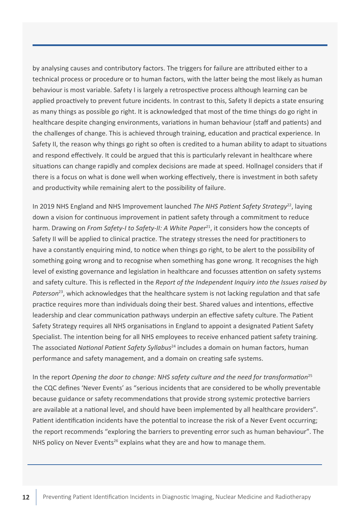by analysing causes and contributory factors. The triggers for failure are attributed either to a technical process or procedure or to human factors, with the latter being the most likely as human behaviour is most variable. Safety I is largely a retrospective process although learning can be applied proactively to prevent future incidents. In contrast to this, Safety II depicts a state ensuring as many things as possible go right. It is acknowledged that most of the time things do go right in healthcare despite changing environments, variations in human behaviour (staff and patients) and the challenges of change. This is achieved through training, education and practical experience. In Safety II, the reason why things go right so often is credited to a human ability to adapt to situations and respond effectively. It could be argued that this is particularly relevant in healthcare where situations can change rapidly and complex decisions are made at speed. Hollnagel considers that if there is a focus on what is done well when working effectively, there is investment in both safety and productivity while remaining alert to the possibility of failure.

In 2019 NHS England and NHS Improvement launched *The NHS Patient Safety Strategy*<sup>22</sup>, laying down a vision for continuous improvement in patient safety through a commitment to reduce harm. Drawing on *From Safety-I to Safety-II: A White Paper*<sup>21</sup>, it considers how the concepts of Safety II will be applied to clinical practice. The strategy stresses the need for practitioners to have a constantly enquiring mind, to notice when things go right, to be alert to the possibility of something going wrong and to recognise when something has gone wrong. It recognises the high level of existing governance and legislation in healthcare and focusses attention on safety systems and safety culture. This is reflected in the *Report of the Independent Inquiry into the Issues raised by Paterson*<sup>23</sup>, which acknowledges that the healthcare system is not lacking regulation and that safe practice requires more than individuals doing their best. Shared values and intentions, effective leadership and clear communication pathways underpin an effective safety culture. The Patient Safety Strategy requires all NHS organisations in England to appoint a designated Patient Safety Specialist. The intention being for all NHS employees to receive enhanced patient safety training. The associated *National Patient Safety Syllabus*<sup>24</sup> includes a domain on human factors, human performance and safety management, and a domain on creating safe systems.

In the report *Opening the door to change: NHS safety culture and the need for transformation*<sup>25</sup> the CQC defines 'Never Events' as "serious incidents that are considered to be wholly preventable because guidance or safety recommendations that provide strong systemic protective barriers are available at a national level, and should have been implemented by all healthcare providers". Patient identification incidents have the potential to increase the risk of a Never Event occurring; the report recommends "exploring the barriers to preventing error such as human behaviour". The NHS policy on Never Events<sup>26</sup> explains what they are and how to manage them.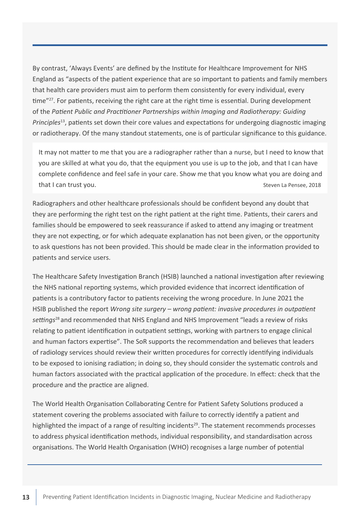By contrast, 'Always Events' are defined by the Institute for Healthcare Improvement for NHS England as "aspects of the patient experience that are so important to patients and family members that health care providers must aim to perform them consistently for every individual, every time"<sup>27</sup>. For patients, receiving the right care at the right time is essential. During development of the *Patient Public and Practitioner Partnerships within Imaging and Radiotherapy: Guiding Principles*<sup>13</sup>, patients set down their core values and expectations for undergoing diagnostic imaging or radiotherapy. Of the many standout statements, one is of particular significance to this guidance.

It may not matter to me that you are a radiographer rather than a nurse, but I need to know that you are skilled at what you do, that the equipment you use is up to the job, and that I can have complete confidence and feel safe in your care. Show me that you know what you are doing and that I can trust you. Steven La Pensee, 2018

Radiographers and other healthcare professionals should be confident beyond any doubt that they are performing the right test on the right patient at the right time. Patients, their carers and families should be empowered to seek reassurance if asked to attend any imaging or treatment they are not expecting, or for which adequate explanation has not been given, or the opportunity to ask questions has not been provided. This should be made clear in the information provided to patients and service users.

The Healthcare Safety Investigation Branch (HSIB) launched a national investigation after reviewing the NHS national reporting systems, which provided evidence that incorrect identification of patients is a contributory factor to patients receiving the wrong procedure. In June 2021 the HSIB published the report *Wrong site surgery – wrong patient: invasive procedures in outpatient settings*28 and recommended that NHS England and NHS Improvement "leads a review of risks relating to patient identification in outpatient settings, working with partners to engage clinical and human factors expertise". The SoR supports the recommendation and believes that leaders of radiology services should review their written procedures for correctly identifying individuals to be exposed to ionising radiation; in doing so, they should consider the systematic controls and human factors associated with the practical application of the procedure. In effect: check that the procedure and the practice are aligned.

The World Health Organisation Collaborating Centre for Patient Safety Solutions produced a statement covering the problems associated with failure to correctly identify a patient and highlighted the impact of a range of resulting incidents<sup>29</sup>. The statement recommends processes to address physical identification methods, individual responsibility, and standardisation across organisations. The World Health Organisation (WHO) recognises a large number of potential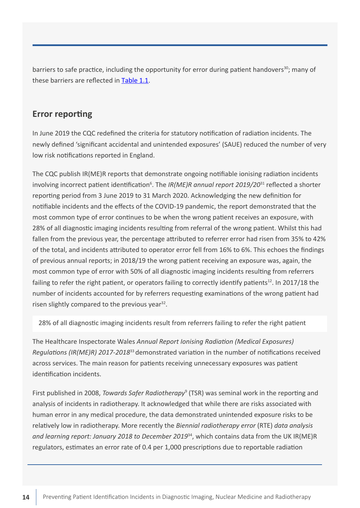<span id="page-13-0"></span>barriers to safe practice, including the opportunity for error during patient handovers<sup>30</sup>; many of these barriers are reflected in [Table 1.1.](#page-20-0)

### **Error reporting**

In June 2019 the CQC redefined the criteria for statutory notification of radiation incidents. The newly defined 'significant accidental and unintended exposures' (SAUE) reduced the number of very low risk notifications reported in England.

The CQC publish IR(ME)R reports that demonstrate ongoing notifiable ionising radiation incidents involving incorrect patient identification<sup>6</sup>. The IR(ME)R annual report 2019/20<sup>31</sup> reflected a shorter reporting period from 3 June 2019 to 31 March 2020. Acknowledging the new definition for notifiable incidents and the effects of the COVID-19 pandemic, the report demonstrated that the most common type of error continues to be when the wrong patient receives an exposure, with 28% of all diagnostic imaging incidents resulting from referral of the wrong patient. Whilst this had fallen from the previous year, the percentage attributed to referrer error had risen from 35% to 42% of the total, and incidents attributed to operator error fell from 16% to 6%. This echoes the findings of previous annual reports; in 2018/19 the wrong patient receiving an exposure was, again, the most common type of error with 50% of all diagnostic imaging incidents resulting from referrers failing to refer the right patient, or operators failing to correctly identify patients<sup>12</sup>. In 2017/18 the number of incidents accounted for by referrers requesting examinations of the wrong patient had risen slightly compared to the previous year<sup>32</sup>.

28% of all diagnostic imaging incidents result from referrers failing to refer the right patient

The Healthcare Inspectorate Wales *Annual Report Ionising Radiation (Medical Exposures) Regulations (IR(ME)R) 2017-2018*<sup>33</sup>demonstrated variation in the number of notifications received across services. The main reason for patients receiving unnecessary exposures was patient identification incidents.

First published in 2008, *Towards Safer Radiotherapy*<sup>9</sup> (TSR) was seminal work in the reporting and analysis of incidents in radiotherapy. It acknowledged that while there are risks associated with human error in any medical procedure, the data demonstrated unintended exposure risks to be relatively low in radiotherapy. More recently the *Biennial radiotherapy error* (RTE) *data analysis*  and learning report: January 2018 to December 2019<sup>34</sup>, which contains data from the UK IR(ME)R regulators, estimates an error rate of 0.4 per 1,000 prescriptions due to reportable radiation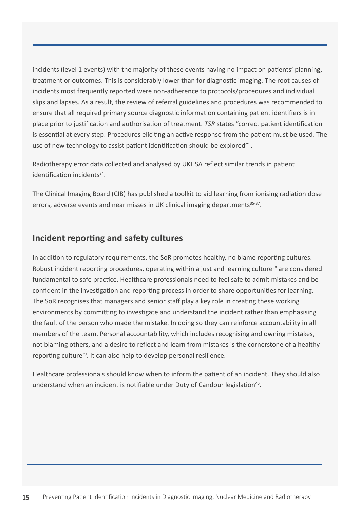<span id="page-14-0"></span>incidents (level 1 events) with the majority of these events having no impact on patients' planning, treatment or outcomes. This is considerably lower than for diagnostic imaging. The root causes of incidents most frequently reported were non-adherence to protocols/procedures and individual slips and lapses. As a result, the review of referral guidelines and procedures was recommended to ensure that all required primary source diagnostic information containing patient identifiers is in place prior to justification and authorisation of treatment. *TSR* states "correct patient identification is essential at every step. Procedures eliciting an active response from the patient must be used. The use of new technology to assist patient identification should be explored"<sup>9</sup>.

Radiotherapy error data collected and analysed by UKHSA reflect similar trends in patient identification incidents<sup>34</sup>.

The Clinical Imaging Board (CIB) has published a toolkit to aid learning from ionising radiation dose errors, adverse events and near misses in UK clinical imaging departments<sup>35-37</sup>.

#### **Incident reporting and safety cultures**

In addition to regulatory requirements, the SoR promotes healthy, no blame reporting cultures. Robust incident reporting procedures, operating within a just and learning culture<sup>38</sup> are considered fundamental to safe practice. Healthcare professionals need to feel safe to admit mistakes and be confident in the investigation and reporting process in order to share opportunities for learning. The SoR recognises that managers and senior staff play a key role in creating these working environments by committing to investigate and understand the incident rather than emphasising the fault of the person who made the mistake. In doing so they can reinforce accountability in all members of the team. Personal accountability, which includes recognising and owning mistakes, not blaming others, and a desire to reflect and learn from mistakes is the cornerstone of a healthy reporting culture<sup>39</sup>. It can also help to develop personal resilience.

Healthcare professionals should know when to inform the patient of an incident. They should also understand when an incident is notifiable under Duty of Candour legislation<sup>40</sup>.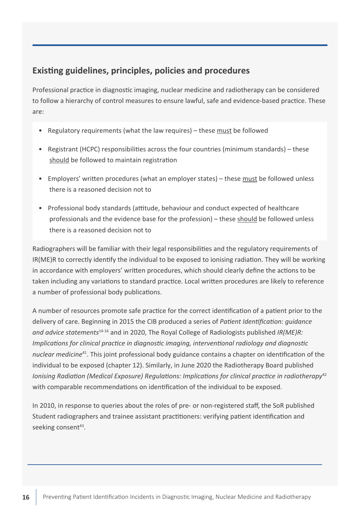# <span id="page-15-0"></span>**Existing guidelines, principles, policies and procedures**

Professional practice in diagnostic imaging, nuclear medicine and radiotherapy can be considered to follow a hierarchy of control measures to ensure lawful, safe and evidence-based practice. These are:

- Regulatory requirements (what the law requires) these must be followed
- Registrant (HCPC) responsibilities across the four countries (minimum standards) these should be followed to maintain registration
- Employers' written procedures (what an employer states) these must be followed unless there is a reasoned decision not to
- Professional body standards (attitude, behaviour and conduct expected of healthcare professionals and the evidence base for the profession) – these should be followed unless there is a reasoned decision not to

Radiographers will be familiar with their legal responsibilities and the regulatory requirements of IR(ME)R to correctly identify the individual to be exposed to ionising radiation. They will be working in accordance with employers' written procedures, which should clearly define the actions to be taken including any variations to standard practice. Local written procedures are likely to reference a number of professional body publications.

A number of resources promote safe practice for the correct identification of a patient prior to the delivery of care. Beginning in 2015 the CIB produced a series of *Patient Identification: guidance and advice statements*14-16 and in 2020, The Royal College of Radiologists published *IR(ME)R: Implications for clinical practice in diagnostic imaging, interventional radiology and diagnostic nuclear medicine*<sup>41</sup>. This joint professional body guidance contains a chapter on identification of the individual to be exposed (chapter 12). Similarly, in June 2020 the Radiotherapy Board published *Ionising Radiation (Medical Exposure) Requlations: Implications for clinical practice in radiotherapy*<sup>42</sup> with comparable recommendations on identification of the individual to be exposed.

In 2010, in response to queries about the roles of pre- or non-registered staff, the SoR published Student radiographers and trainee assistant practitioners: verifying patient identification and seeking consent<sup>43</sup>.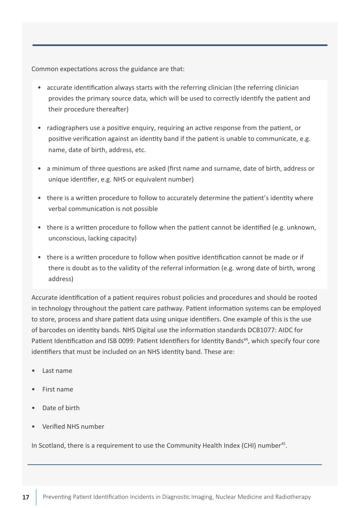Common expectations across the guidance are that:

- accurate identification always starts with the referring clinician (the referring clinician provides the primary source data, which will be used to correctly identify the patient and their procedure thereafter)
- radiographers use a positive enquiry, requiring an active response from the patient, or positive verification against an identity band if the patient is unable to communicate, e.g. name, date of birth, address, etc.
- a minimum of three questions are asked (first name and surname, date of birth, address or unique identifier, e.g. NHS or equivalent number)
- there is a written procedure to follow to accurately determine the patient's identity where verbal communication is not possible
- there is a written procedure to follow when the patient cannot be identified (e.g. unknown, unconscious, lacking capacity)
- there is a written procedure to follow when positive identification cannot be made or if there is doubt as to the validity of the referral information (e.g. wrong date of birth, wrong address)

Accurate identification of a patient requires robust policies and procedures and should be rooted in technology throughout the patient care pathway. Patient information systems can be employed to store, process and share patient data using unique identifiers. One example of this is the use of barcodes on identity bands. NHS Digital use the information standards DCB1077: AIDC for Patient Identification and ISB 0099: Patient Identifiers for Identity Bands<sup>44</sup>, which specify four core identifiers that must be included on an NHS identity band. These are:

- Last name
- First name
- Date of birth
- Verified NHS number

In Scotland, there is a requirement to use the Community Health Index (CHI) number<sup>45</sup>.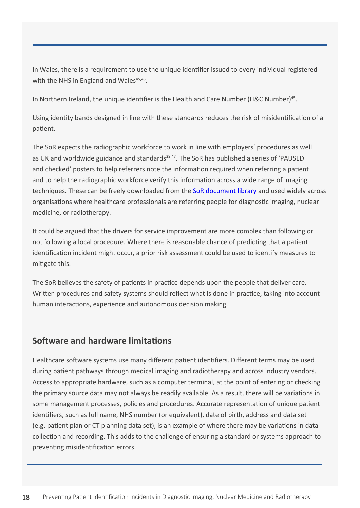<span id="page-17-0"></span>In Wales, there is a requirement to use the unique identifier issued to every individual registered with the NHS in England and Wales $45,46$ .

In Northern Ireland, the unique identifier is the Health and Care Number (H&C Number)<sup>45</sup>.

Using identity bands designed in line with these standards reduces the risk of misidentification of a patient.

The SoR expects the radiographic workforce to work in line with employers' procedures as well as UK and worldwide guidance and standards<sup>29,47</sup>. The SoR has published a series of 'PAUSED and checked' posters to help referrers note the information required when referring a patient and to help the radiographic workforce verify this information across a wide range of imaging techniques. These can be freely downloaded from the [SoR document library](https://www.sor.org/learning-advice/professional-body-guidance-and-publications/documents-and-publications/policy-guidance-document-library) and used widely across organisations where healthcare professionals are referring people for diagnostic imaging, nuclear medicine, or radiotherapy.

It could be argued that the drivers for service improvement are more complex than following or not following a local procedure. Where there is reasonable chance of predicting that a patient identification incident might occur, a prior risk assessment could be used to identify measures to mitigate this.

The SoR believes the safety of patients in practice depends upon the people that deliver care. Written procedures and safety systems should reflect what is done in practice, taking into account human interactions, experience and autonomous decision making.

# **Software and hardware limitations**

Healthcare software systems use many different patient identifiers. Different terms may be used during patient pathways through medical imaging and radiotherapy and across industry vendors. Access to appropriate hardware, such as a computer terminal, at the point of entering or checking the primary source data may not always be readily available. As a result, there will be variations in some management processes, policies and procedures. Accurate representation of unique patient identifiers, such as full name, NHS number (or equivalent), date of birth, address and data set (e.g. patient plan or CT planning data set), is an example of where there may be variations in data collection and recording. This adds to the challenge of ensuring a standard or systems approach to preventing misidentification errors.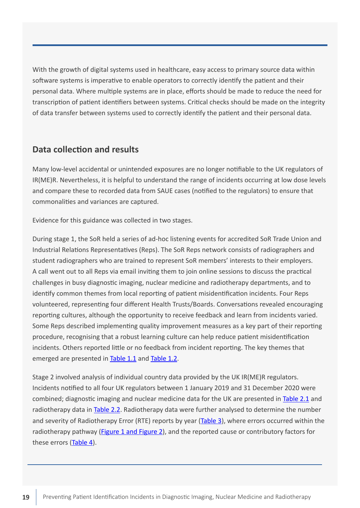<span id="page-18-0"></span>With the growth of digital systems used in healthcare, easy access to primary source data within software systems is imperative to enable operators to correctly identify the patient and their personal data. Where multiple systems are in place, efforts should be made to reduce the need for transcription of patient identifiers between systems. Critical checks should be made on the integrity of data transfer between systems used to correctly identify the patient and their personal data.

#### **Data collection and results**

Many low-level accidental or unintended exposures are no longer notifiable to the UK regulators of IR(ME)R. Nevertheless, it is helpful to understand the range of incidents occurring at low dose levels and compare these to recorded data from SAUE cases (notified to the regulators) to ensure that commonalities and variances are captured.

Evidence for this guidance was collected in two stages.

During stage 1, the SoR held a series of ad-hoc listening events for accredited SoR Trade Union and Industrial Relations Representatives (Reps). The SoR Reps network consists of radiographers and student radiographers who are trained to represent SoR members' interests to their employers. A call went out to all Reps via email inviting them to join online sessions to discuss the practical challenges in busy diagnostic imaging, nuclear medicine and radiotherapy departments, and to identify common themes from local reporting of patient misidentification incidents. Four Reps volunteered, representing four different Health Trusts/Boards. Conversations revealed encouraging reporting cultures, although the opportunity to receive feedback and learn from incidents varied. Some Reps described implementing quality improvement measures as a key part of their reporting procedure, recognising that a robust learning culture can help reduce patient misidentification incidents. Others reported little or no feedback from incident reporting. The key themes that emerged are presented in [Table 1.1](#page-20-0) and [Table 1.2](#page-21-0).

Stage 2 involved analysis of individual country data provided by the UK IR(ME)R regulators. Incidents notified to all four UK regulators between 1 January 2019 and 31 December 2020 were combined; diagnostic imaging and nuclear medicine data for the UK are presented in [Table 2.1](#page-23-0) and radiotherapy data in [Table 2.2](#page-24-0). Radiotherapy data were further analysed to determine the number and severity of Radiotherapy Error (RTE) reports by year ([Table 3](#page-26-0)), where errors occurred within the radiotherapy pathway [\(Figure 1 and Figure 2\)](#page-27-0), and the reported cause or contributory factors for these errors ([Table 4](#page-28-0)).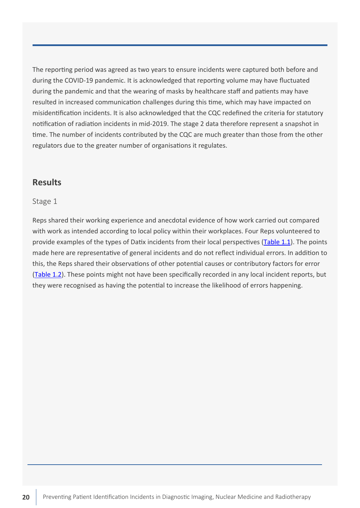<span id="page-19-0"></span>The reporting period was agreed as two years to ensure incidents were captured both before and during the COVID-19 pandemic. It is acknowledged that reporting volume may have fluctuated during the pandemic and that the wearing of masks by healthcare staff and patients may have resulted in increased communication challenges during this time, which may have impacted on misidentification incidents. It is also acknowledged that the CQC redefined the criteria for statutory notification of radiation incidents in mid-2019. The stage 2 data therefore represent a snapshot in time. The number of incidents contributed by the CQC are much greater than those from the other regulators due to the greater number of organisations it regulates.

### **Results**

#### Stage 1

Reps shared their working experience and anecdotal evidence of how work carried out compared with work as intended according to local policy within their workplaces. Four Reps volunteered to provide examples of the types of Datix incidents from their local perspectives ([Table 1.1](#page-20-0)). The points made here are representative of general incidents and do not reflect individual errors. In addition to this, the Reps shared their observations of other potential causes or contributory factors for error ([Table 1.2](#page-21-0)). These points might not have been specifically recorded in any local incident reports, but they were recognised as having the potential to increase the likelihood of errors happening.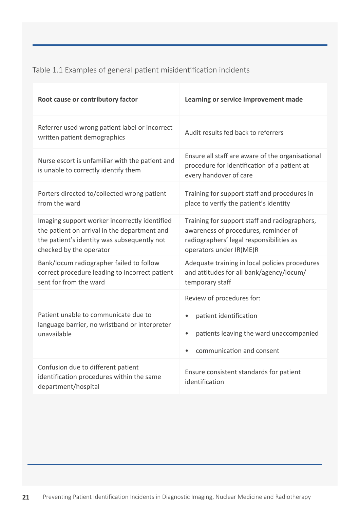<span id="page-20-0"></span>Table 1.1 Examples of general patient misidentification incidents

| Root cause or contributory factor                                                                                                                                       | Learning or service improvement made                                                                                                                         |
|-------------------------------------------------------------------------------------------------------------------------------------------------------------------------|--------------------------------------------------------------------------------------------------------------------------------------------------------------|
| Referrer used wrong patient label or incorrect<br>written patient demographics                                                                                          | Audit results fed back to referrers                                                                                                                          |
| Nurse escort is unfamiliar with the patient and<br>is unable to correctly identify them                                                                                 | Ensure all staff are aware of the organisational<br>procedure for identification of a patient at<br>every handover of care                                   |
| Porters directed to/collected wrong patient<br>from the ward                                                                                                            | Training for support staff and procedures in<br>place to verify the patient's identity                                                                       |
| Imaging support worker incorrectly identified<br>the patient on arrival in the department and<br>the patient's identity was subsequently not<br>checked by the operator | Training for support staff and radiographers,<br>awareness of procedures, reminder of<br>radiographers' legal responsibilities as<br>operators under IR(ME)R |
| Bank/locum radiographer failed to follow<br>correct procedure leading to incorrect patient<br>sent for from the ward                                                    | Adequate training in local policies procedures<br>and attitudes for all bank/agency/locum/<br>temporary staff                                                |
| Patient unable to communicate due to<br>language barrier, no wristband or interpreter<br>unavailable                                                                    | Review of procedures for:<br>patient identification<br>patients leaving the ward unaccompanied<br>$\bullet$<br>communication and consent<br>$\bullet$        |
| Confusion due to different patient<br>identification procedures within the same<br>department/hospital                                                                  | Ensure consistent standards for patient<br>identification                                                                                                    |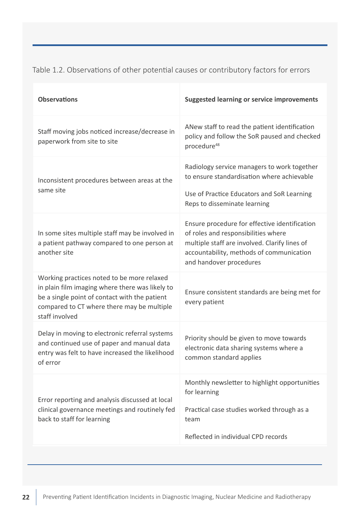<span id="page-21-0"></span>

| <b>Observations</b>                                                                                                                                                                                            | <b>Suggested learning or service improvements</b>                                                                                                                                                            |
|----------------------------------------------------------------------------------------------------------------------------------------------------------------------------------------------------------------|--------------------------------------------------------------------------------------------------------------------------------------------------------------------------------------------------------------|
| Staff moving jobs noticed increase/decrease in<br>paperwork from site to site                                                                                                                                  | ANew staff to read the patient identification<br>policy and follow the SoR paused and checked<br>procedure <sup>48</sup>                                                                                     |
| Inconsistent procedures between areas at the<br>same site                                                                                                                                                      | Radiology service managers to work together<br>to ensure standardisation where achievable<br>Use of Practice Educators and SoR Learning<br>Reps to disseminate learning                                      |
| In some sites multiple staff may be involved in<br>a patient pathway compared to one person at<br>another site                                                                                                 | Ensure procedure for effective identification<br>of roles and responsibilities where<br>multiple staff are involved. Clarify lines of<br>accountability, methods of communication<br>and handover procedures |
| Working practices noted to be more relaxed<br>in plain film imaging where there was likely to<br>be a single point of contact with the patient<br>compared to CT where there may be multiple<br>staff involved | Ensure consistent standards are being met for<br>every patient                                                                                                                                               |
| Delay in moving to electronic referral systems<br>and continued use of paper and manual data<br>entry was felt to have increased the likelihood<br>of error                                                    | Priority should be given to move towards<br>electronic data sharing systems where a<br>common standard applies                                                                                               |
| Error reporting and analysis discussed at local<br>clinical governance meetings and routinely fed<br>back to staff for learning                                                                                | Monthly newsletter to highlight opportunities<br>for learning<br>Practical case studies worked through as a<br>team<br>Reflected in individual CPD records                                                   |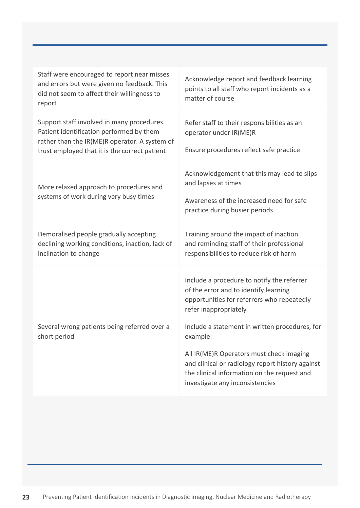| Staff were encouraged to report near misses<br>and errors but were given no feedback. This<br>did not seem to affect their willingness to<br>report                                      | Acknowledge report and feedback learning<br>points to all staff who report incidents as a<br>matter of course                                                                                                |
|------------------------------------------------------------------------------------------------------------------------------------------------------------------------------------------|--------------------------------------------------------------------------------------------------------------------------------------------------------------------------------------------------------------|
| Support staff involved in many procedures.<br>Patient identification performed by them<br>rather than the IR(ME)R operator. A system of<br>trust employed that it is the correct patient | Refer staff to their responsibilities as an<br>operator under IR(ME)R<br>Ensure procedures reflect safe practice                                                                                             |
| More relaxed approach to procedures and<br>systems of work during very busy times                                                                                                        | Acknowledgement that this may lead to slips<br>and lapses at times<br>Awareness of the increased need for safe<br>practice during busier periods                                                             |
| Demoralised people gradually accepting<br>declining working conditions, inaction, lack of<br>inclination to change                                                                       | Training around the impact of inaction<br>and reminding staff of their professional<br>responsibilities to reduce risk of harm                                                                               |
| Several wrong patients being referred over a                                                                                                                                             | Include a procedure to notify the referrer<br>of the error and to identify learning<br>opportunities for referrers who repeatedly<br>refer inappropriately<br>Include a statement in written procedures, for |
| short period                                                                                                                                                                             | example:<br>All IR(ME)R Operators must check imaging<br>and clinical or radiology report history against<br>the clinical information on the request and<br>investigate any inconsistencies                   |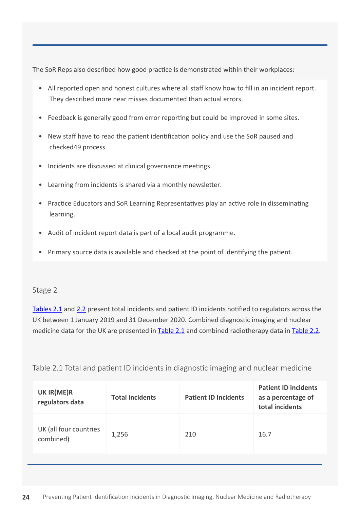<span id="page-23-0"></span>The SoR Reps also described how good practice is demonstrated within their workplaces:

- All reported open and honest cultures where all staff know how to fill in an incident report. They described more near misses documented than actual errors.
- Feedback is generally good from error reporting but could be improved in some sites.
- New staff have to read the patient identification policy and use the SoR paused and checked49 process.
- Incidents are discussed at clinical governance meetings.
- Learning from incidents is shared via a monthly newsletter.
- Practice Educators and SoR Learning Representatives play an active role in disseminating learning.
- Audit of incident report data is part of a local audit programme.
- Primary source data is available and checked at the point of identifying the patient.

#### Stage 2

Tables 2.1 and [2.2](#page-24-0) present total incidents and patient ID incidents notified to regulators across the UK between 1 January 2019 and 31 December 2020. Combined diagnostic imaging and nuclear medicine data for the UK are presented in Table 2.1 and combined radiotherapy data in [Table 2.2.](#page-24-0)

| UK IR(ME)R<br>regulators data       | <b>Total Incidents</b> | <b>Patient ID Incidents</b> | <b>Patient ID incidents</b><br>as a percentage of<br>total incidents |
|-------------------------------------|------------------------|-----------------------------|----------------------------------------------------------------------|
| UK (all four countries<br>combined) | 1,256                  | 210                         | 16.7                                                                 |

Table 2.1 Total and patient ID incidents in diagnostic imaging and nuclear medicine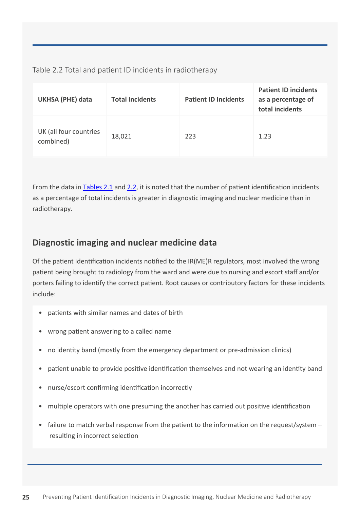<span id="page-24-0"></span>Table 2.2 Total and patient ID incidents in radiotherapy

| <b>UKHSA (PHE) data</b>             | <b>Total Incidents</b> | <b>Patient ID Incidents</b> | <b>Patient ID incidents</b><br>as a percentage of<br>total incidents |
|-------------------------------------|------------------------|-----------------------------|----------------------------------------------------------------------|
| UK (all four countries<br>combined) | 18,021                 | 223                         | 1.23                                                                 |

From the data in [Tables 2.1](#page-23-0) and 2.2, it is noted that the number of patient identification incidents as a percentage of total incidents is greater in diagnostic imaging and nuclear medicine than in radiotherapy.

# **Diagnostic imaging and nuclear medicine data**

Of the patient identification incidents notified to the IR(ME)R regulators, most involved the wrong patient being brought to radiology from the ward and were due to nursing and escort staff and/or porters failing to identify the correct patient. Root causes or contributory factors for these incidents include:

- patients with similar names and dates of birth
- wrong patient answering to a called name
- no identity band (mostly from the emergency department or pre-admission clinics)
- patient unable to provide positive identification themselves and not wearing an identity band
- nurse/escort confirming identification incorrectly
- multiple operators with one presuming the another has carried out positive identification
- failure to match verbal response from the patient to the information on the request/system resulting in incorrect selection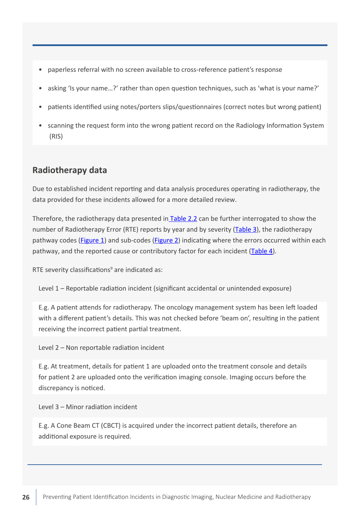- <span id="page-25-0"></span>• paperless referral with no screen available to cross-reference patient's response
- asking 'Is your name...?' rather than open question techniques, such as 'what is your name?'
- patients identified using notes/porters slips/questionnaires (correct notes but wrong patient)
- scanning the request form into the wrong patient record on the Radiology Information System (RIS)

# **Radiotherapy data**

Due to established incident reporting and data analysis procedures operating in radiotherapy, the data provided for these incidents allowed for a more detailed review.

Therefore, the radiotherapy data presented in [Table 2.2](#page-24-0) can be further interrogated to show the number of Radiotherapy Error (RTE) reports by year and by severity ([Table 3](#page-26-0)), the radiotherapy pathway codes [\(Figure 1](#page-27-0)) and sub-codes ([Figure 2\)](#page-27-0) indicating where the errors occurred within each pathway, and the reported cause or contributory factor for each incident ([Table 4](#page-28-0)).

RTE severity classifications<sup>9</sup> are indicated as:

Level 1 – Reportable radiation incident (significant accidental or unintended exposure)

E.g. A patient attends for radiotherapy. The oncology management system has been left loaded with a different patient's details. This was not checked before 'beam on', resulting in the patient receiving the incorrect patient partial treatment.

Level 2 – Non reportable radiation incident

E.g. At treatment, details for patient 1 are uploaded onto the treatment console and details for patient 2 are uploaded onto the verification imaging console. Imaging occurs before the discrepancy is noticed.

Level 3 – Minor radiation incident

E.g. A Cone Beam CT (CBCT) is acquired under the incorrect patient details, therefore an additional exposure is required.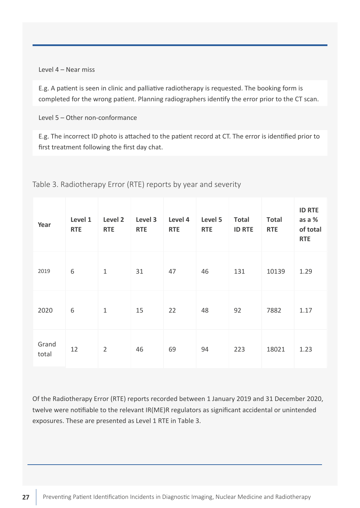<span id="page-26-0"></span>Level 4 – Near miss

E.g. A patient is seen in clinic and palliative radiotherapy is requested. The booking form is completed for the wrong patient. Planning radiographers identify the error prior to the CT scan.

Level 5 – Other non-conformance

E.g. The incorrect ID photo is attached to the patient record at CT. The error is identified prior to first treatment following the first day chat.

| Year           | Level 1<br><b>RTE</b> | Level 2<br><b>RTE</b> | Level 3<br><b>RTE</b> | Level 4<br><b>RTE</b> | Level 5<br><b>RTE</b> | <b>Total</b><br><b>ID RTE</b> | <b>Total</b><br><b>RTE</b> | <b>ID RTE</b><br>as a %<br>of total<br><b>RTE</b> |
|----------------|-----------------------|-----------------------|-----------------------|-----------------------|-----------------------|-------------------------------|----------------------------|---------------------------------------------------|
| 2019           | 6                     | $1\,$                 | 31                    | 47                    | 46                    | 131                           | 10139                      | 1.29                                              |
| 2020           | 6                     | $\mathbf{1}$          | 15                    | 22                    | 48                    | 92                            | 7882                       | 1.17                                              |
| Grand<br>total | 12                    | $\overline{2}$        | 46                    | 69                    | 94                    | 223                           | 18021                      | 1.23                                              |

Table 3. Radiotherapy Error (RTE) reports by year and severity

Of the Radiotherapy Error (RTE) reports recorded between 1 January 2019 and 31 December 2020, twelve were notifiable to the relevant IR(ME)R regulators as significant accidental or unintended exposures. These are presented as Level 1 RTE in Table 3.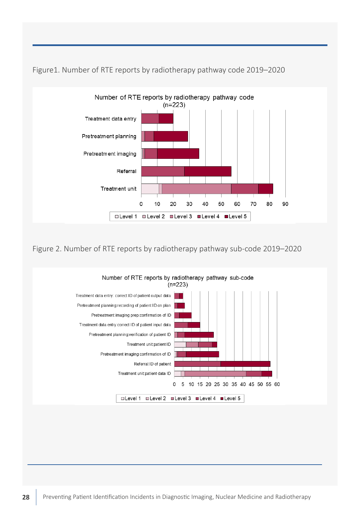

<span id="page-27-0"></span>Figure1. Number of RTE reports by radiotherapy pathway code 2019–2020

Figure 2. Number of RTE reports by radiotherapy pathway sub-code 2019–2020

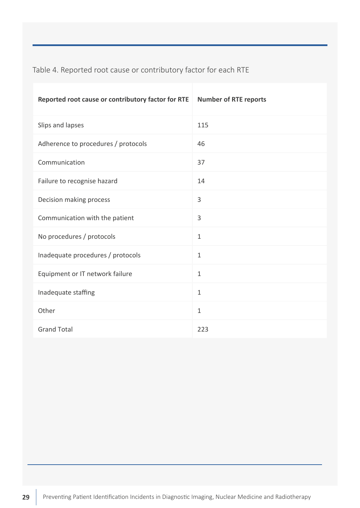<span id="page-28-0"></span>Table 4. Reported root cause or contributory factor for each RTE

| Reported root cause or contributory factor for RTE | <b>Number of RTE reports</b> |
|----------------------------------------------------|------------------------------|
| Slips and lapses                                   | 115                          |
| Adherence to procedures / protocols                | 46                           |
| Communication                                      | 37                           |
| Failure to recognise hazard                        | 14                           |
| Decision making process                            | 3                            |
| Communication with the patient                     | 3                            |
| No procedures / protocols                          | $\mathbf{1}$                 |
| Inadequate procedures / protocols                  | $\mathbf{1}$                 |
| Equipment or IT network failure                    | $\mathbf{1}$                 |
| Inadequate staffing                                | $\mathbf{1}$                 |
| Other                                              | $\mathbf{1}$                 |
| <b>Grand Total</b>                                 | 223                          |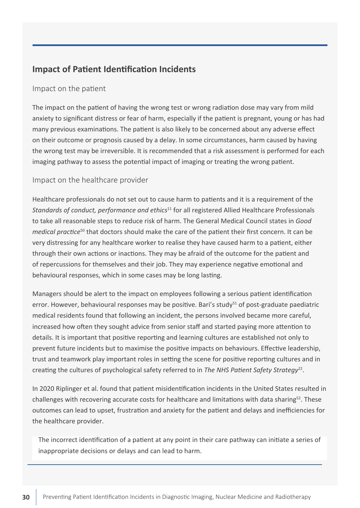# <span id="page-29-0"></span>**Impact of Patient Identification Incidents**

#### Impact on the patient

The impact on the patient of having the wrong test or wrong radiation dose may vary from mild anxiety to significant distress or fear of harm, especially if the patient is pregnant, young or has had many previous examinations. The patient is also likely to be concerned about any adverse effect on their outcome or prognosis caused by a delay. In some circumstances, harm caused by having the wrong test may be irreversible. It is recommended that a risk assessment is performed for each imaging pathway to assess the potential impact of imaging or treating the wrong patient.

#### Impact on the healthcare provider

Healthcare professionals do not set out to cause harm to patients and it is a requirement of the *Standards of conduct, performance and ethics*<sup>11</sup> for all registered Allied Healthcare Professionals to take all reasonable steps to reduce risk of harm. The General Medical Council states in *Good medical practice*<sup>50</sup> that doctors should make the care of the patient their first concern. It can be very distressing for any healthcare worker to realise they have caused harm to a patient, either through their own actions or inactions. They may be afraid of the outcome for the patient and of repercussions for themselves and their job. They may experience negative emotional and behavioural responses, which in some cases may be long lasting.

Managers should be alert to the impact on employees following a serious patient identification error. However, behavioural responses may be positive. Bari's study $51$  of post-graduate paediatric medical residents found that following an incident, the persons involved became more careful, increased how often they sought advice from senior staff and started paying more attention to details. It is important that positive reporting and learning cultures are established not only to prevent future incidents but to maximise the positive impacts on behaviours. Effective leadership, trust and teamwork play important roles in setting the scene for positive reporting cultures and in creating the cultures of psychological safety referred to in *The NHS Patient Safety Strategy*22.

In 2020 Riplinger et al. found that patient misidentification incidents in the United States resulted in challenges with recovering accurate costs for healthcare and limitations with data sharing<sup>52</sup>. These outcomes can lead to upset, frustration and anxiety for the patient and delays and inefficiencies for the healthcare provider.

The incorrect identification of a patient at any point in their care pathway can initiate a series of inappropriate decisions or delays and can lead to harm.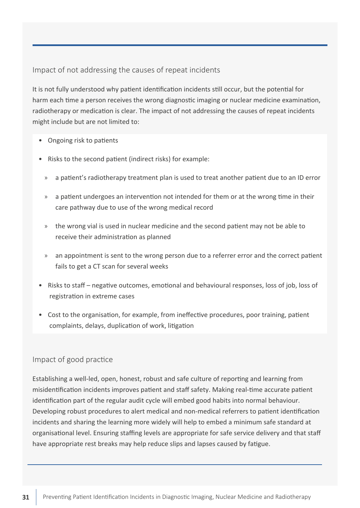<span id="page-30-0"></span>Impact of not addressing the causes of repeat incidents

It is not fully understood why patient identification incidents still occur, but the potential for harm each time a person receives the wrong diagnostic imaging or nuclear medicine examination, radiotherapy or medication is clear. The impact of not addressing the causes of repeat incidents might include but are not limited to:

- Ongoing risk to patients
- Risks to the second patient (indirect risks) for example:
	- » a patient's radiotherapy treatment plan is used to treat another patient due to an ID error
	- » a patient undergoes an intervention not intended for them or at the wrong time in their care pathway due to use of the wrong medical record
	- » the wrong vial is used in nuclear medicine and the second patient may not be able to receive their administration as planned
	- » an appointment is sent to the wrong person due to a referrer error and the correct patient fails to get a CT scan for several weeks
- Risks to staff negative outcomes, emotional and behavioural responses, loss of job, loss of registration in extreme cases
- Cost to the organisation, for example, from ineffective procedures, poor training, patient complaints, delays, duplication of work, litigation

#### Impact of good practice

Establishing a well-led, open, honest, robust and safe culture of reporting and learning from misidentification incidents improves patient and staff safety. Making real-time accurate patient identification part of the regular audit cycle will embed good habits into normal behaviour. Developing robust procedures to alert medical and non-medical referrers to patient identification incidents and sharing the learning more widely will help to embed a minimum safe standard at organisational level. Ensuring staffing levels are appropriate for safe service delivery and that staff have appropriate rest breaks may help reduce slips and lapses caused by fatigue.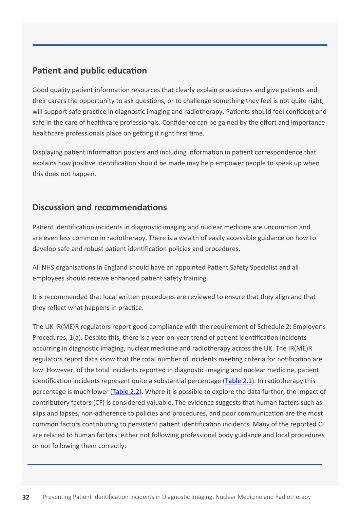## <span id="page-31-0"></span>**Patient and public education**

Good quality patient information resources that clearly explain procedures and give patients and their carers the opportunity to ask questions, or to challenge something they feel is not quite right, will support safe practice in diagnostic imaging and radiotherapy. Patients should feel confident and safe in the care of healthcare professionals. Confidence can be gained by the effort and importance healthcare professionals place on getting it right first time.

Displaying patient information posters and including information in patient correspondence that explains how positive identification should be made may help empower people to speak up when this does not happen.

# **Discussion and recommendations**

Patient identification incidents in diagnostic imaging and nuclear medicine are uncommon and are even less common in radiotherapy. There is a wealth of easily accessible guidance on how to develop safe and robust patient identification policies and procedures.

All NHS organisations in England should have an appointed Patient Safety Specialist and all employees should receive enhanced patient safety training.

It is recommended that local written procedures are reviewed to ensure that they align and that they reflect what happens in practice.

The UK IR(ME)R regulators report good compliance with the requirement of Schedule 2: Employer's Procedures, 1(a). Despite this, there is a year-on-year trend of patient identification incidents occurring in diagnostic imaging, nuclear medicine and radiotherapy across the UK. The IR(ME)R regulators report data show that the total number of incidents meeting criteria for notification are low. However, of the total incidents reported in diagnostic imaging and nuclear medicine, patient identification incidents represent quite a substantial percentage ([Table 2.1](#page-23-0)). In radiotherapy this percentage is much lower ([Table 2.2](#page-24-0)). Where it is possible to explore the data further, the impact of contributory factors (CF) is considered valuable. The evidence suggests that human factors such as slips and lapses, non-adherence to policies and procedures, and poor communication are the most common factors contributing to persistent patient identification incidents. Many of the reported CF are related to human factors: either not following professional body guidance and local procedures or not following them correctly.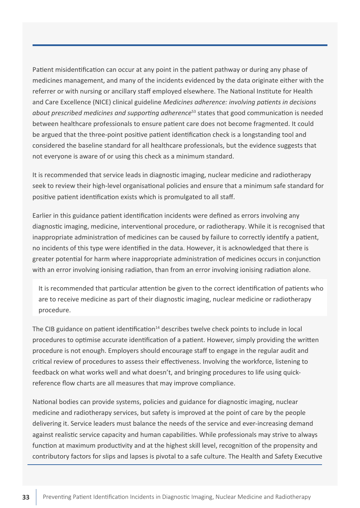Patient misidentification can occur at any point in the patient pathway or during any phase of medicines management, and many of the incidents evidenced by the data originate either with the referrer or with nursing or ancillary staff employed elsewhere. The National Institute for Health and Care Excellence (NICE) clinical guideline *Medicines adherence: involving patients in decisions about prescribed medicines and supporting adherence*53 states that good communication is needed between healthcare professionals to ensure patient care does not become fragmented. It could be argued that the three-point positive patient identification check is a longstanding tool and considered the baseline standard for all healthcare professionals, but the evidence suggests that not everyone is aware of or using this check as a minimum standard.

It is recommended that service leads in diagnostic imaging, nuclear medicine and radiotherapy seek to review their high-level organisational policies and ensure that a minimum safe standard for positive patient identification exists which is promulgated to all staff.

Earlier in this guidance patient identification incidents were defined as errors involving any diagnostic imaging, medicine, interventional procedure, or radiotherapy. While it is recognised that inappropriate administration of medicines can be caused by failure to correctly identify a patient, no incidents of this type were identified in the data. However, it is acknowledged that there is greater potential for harm where inappropriate administration of medicines occurs in conjunction with an error involving ionising radiation, than from an error involving ionising radiation alone.

It is recommended that particular attention be given to the correct identification of patients who are to receive medicine as part of their diagnostic imaging, nuclear medicine or radiotherapy procedure.

The CIB guidance on patient identification<sup>14</sup> describes twelve check points to include in local procedures to optimise accurate identification of a patient. However, simply providing the written procedure is not enough. Employers should encourage staff to engage in the regular audit and critical review of procedures to assess their effectiveness. Involving the workforce, listening to feedback on what works well and what doesn't, and bringing procedures to life using quickreference flow charts are all measures that may improve compliance.

National bodies can provide systems, policies and guidance for diagnostic imaging, nuclear medicine and radiotherapy services, but safety is improved at the point of care by the people delivering it. Service leaders must balance the needs of the service and ever-increasing demand against realistic service capacity and human capabilities. While professionals may strive to always function at maximum productivity and at the highest skill level, recognition of the propensity and contributory factors for slips and lapses is pivotal to a safe culture. The Health and Safety Executive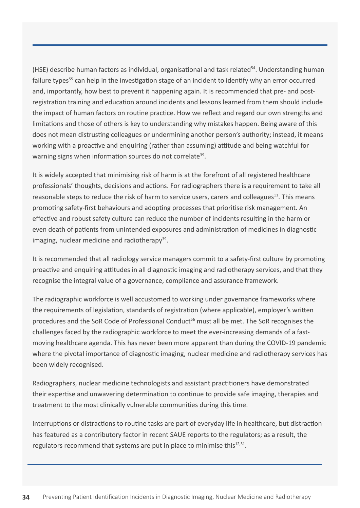(HSE) describe human factors as individual, organisational and task related<sup>54</sup>. Understanding human failure types<sup>55</sup> can help in the investigation stage of an incident to identify why an error occurred and, importantly, how best to prevent it happening again. It is recommended that pre- and postregistration training and education around incidents and lessons learned from them should include the impact of human factors on routine practice. How we reflect and regard our own strengths and limitations and those of others is key to understanding why mistakes happen. Being aware of this does not mean distrusting colleagues or undermining another person's authority; instead, it means working with a proactive and enquiring (rather than assuming) attitude and being watchful for warning signs when information sources do not correlate<sup>39</sup>.

It is widely accepted that minimising risk of harm is at the forefront of all registered healthcare professionals' thoughts, decisions and actions. For radiographers there is a requirement to take all reasonable steps to reduce the risk of harm to service users, carers and colleagues $^{11}$ . This means promoting safety-first behaviours and adopting processes that prioritise risk management. An effective and robust safety culture can reduce the number of incidents resulting in the harm or even death of patients from unintended exposures and administration of medicines in diagnostic imaging, nuclear medicine and radiotherapy<sup>39</sup>.

It is recommended that all radiology service managers commit to a safety-first culture by promoting proactive and enquiring attitudes in all diagnostic imaging and radiotherapy services, and that they recognise the integral value of a governance, compliance and assurance framework.

The radiographic workforce is well accustomed to working under governance frameworks where the requirements of legislation, standards of registration (where applicable), employer's written procedures and the SoR Code of Professional Conduct<sup>56</sup> must all be met. The SoR recognises the challenges faced by the radiographic workforce to meet the ever-increasing demands of a fastmoving healthcare agenda. This has never been more apparent than during the COVID-19 pandemic where the pivotal importance of diagnostic imaging, nuclear medicine and radiotherapy services has been widely recognised.

Radiographers, nuclear medicine technologists and assistant practitioners have demonstrated their expertise and unwavering determination to continue to provide safe imaging, therapies and treatment to the most clinically vulnerable communities during this time.

Interruptions or distractions to routine tasks are part of everyday life in healthcare, but distraction has featured as a contributory factor in recent SAUE reports to the regulators; as a result, the regulators recommend that systems are put in place to minimise this<sup>12,31</sup>.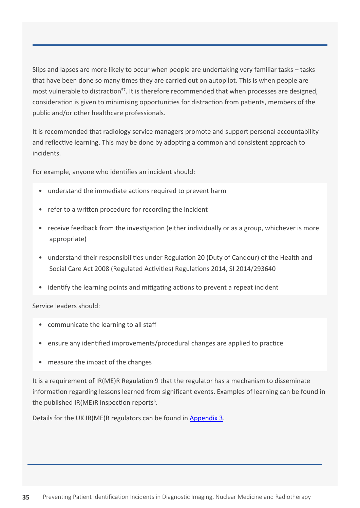Slips and lapses are more likely to occur when people are undertaking very familiar tasks – tasks that have been done so many times they are carried out on autopilot. This is when people are most vulnerable to distraction<sup>57</sup>. It is therefore recommended that when processes are designed, consideration is given to minimising opportunities for distraction from patients, members of the public and/or other healthcare professionals.

It is recommended that radiology service managers promote and support personal accountability and reflective learning. This may be done by adopting a common and consistent approach to incidents.

For example, anyone who identifies an incident should:

- understand the immediate actions required to prevent harm
- refer to a written procedure for recording the incident
- receive feedback from the investigation (either individually or as a group, whichever is more appropriate)
- understand their responsibilities under Regulation 20 (Duty of Candour) of the Health and Social Care Act 2008 (Regulated Activities) Regulations 2014, SI 2014/293640
- identify the learning points and mitigating actions to prevent a repeat incident

Service leaders should:

- communicate the learning to all staff
- ensure any identified improvements/procedural changes are applied to practice
- measure the impact of the changes

It is a requirement of IR(ME)R Regulation 9 that the regulator has a mechanism to disseminate information regarding lessons learned from significant events. Examples of learning can be found in the published IR(ME)R inspection reports<sup>6</sup>.

Details for the UK IR(ME)R regulators can be found in [Appendix 3](#page-44-0).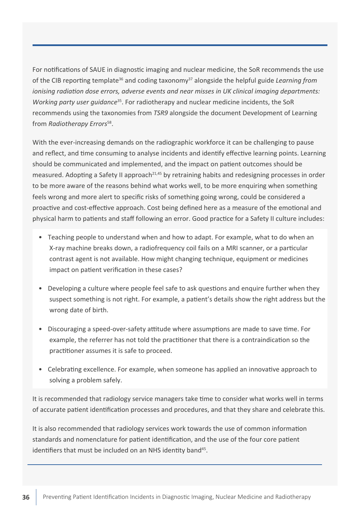For notifications of SAUE in diagnostic imaging and nuclear medicine, the SoR recommends the use of the CIB reporting template<sup>36</sup> and coding taxonomy<sup>37</sup> alongside the helpful guide *Learning from ionising radiation dose errors, adverse events and near misses in UK clinical imaging departments: Working party user guidance*35. For radiotherapy and nuclear medicine incidents, the SoR recommends using the taxonomies from *TSR9* alongside the document Development of Learning from *Radiotherapy Errors*<sup>58</sup>.

With the ever-increasing demands on the radiographic workforce it can be challenging to pause and reflect, and time consuming to analyse incidents and identify effective learning points. Learning should be communicated and implemented, and the impact on patient outcomes should be measured. Adopting a Safety II approach<sup>21,45</sup> by retraining habits and redesigning processes in order to be more aware of the reasons behind what works well, to be more enquiring when something feels wrong and more alert to specific risks of something going wrong, could be considered a proactive and cost-effective approach. Cost being defined here as a measure of the emotional and physical harm to patients and staff following an error. Good practice for a Safety II culture includes:

- Teaching people to understand when and how to adapt. For example, what to do when an X-ray machine breaks down, a radiofrequency coil fails on a MRI scanner, or a particular contrast agent is not available. How might changing technique, equipment or medicines impact on patient verification in these cases?
- Developing a culture where people feel safe to ask questions and enquire further when they suspect something is not right. For example, a patient's details show the right address but the wrong date of birth.
- Discouraging a speed-over-safety attitude where assumptions are made to save time. For example, the referrer has not told the practitioner that there is a contraindication so the practitioner assumes it is safe to proceed.
- Celebrating excellence. For example, when someone has applied an innovative approach to solving a problem safely.

It is recommended that radiology service managers take time to consider what works well in terms of accurate patient identification processes and procedures, and that they share and celebrate this.

It is also recommended that radiology services work towards the use of common information standards and nomenclature for patient identification, and the use of the four core patient identifiers that must be included on an NHS identity band<sup>45</sup>.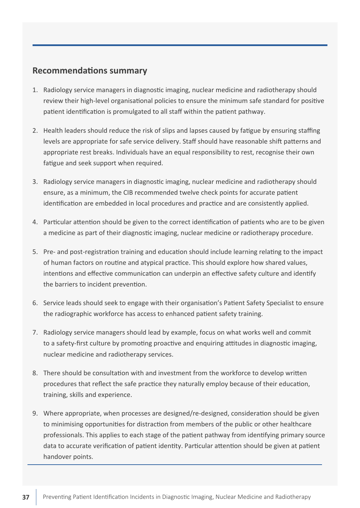#### <span id="page-36-0"></span>**Recommendations summary**

- 1. Radiology service managers in diagnostic imaging, nuclear medicine and radiotherapy should review their high-level organisational policies to ensure the minimum safe standard for positive patient identification is promulgated to all staff within the patient pathway.
- 2. Health leaders should reduce the risk of slips and lapses caused by fatigue by ensuring staffing levels are appropriate for safe service delivery. Staff should have reasonable shift patterns and appropriate rest breaks. Individuals have an equal responsibility to rest, recognise their own fatigue and seek support when required.
- 3. Radiology service managers in diagnostic imaging, nuclear medicine and radiotherapy should ensure, as a minimum, the CIB recommended twelve check points for accurate patient identification are embedded in local procedures and practice and are consistently applied.
- 4. Particular attention should be given to the correct identification of patients who are to be given a medicine as part of their diagnostic imaging, nuclear medicine or radiotherapy procedure.
- 5. Pre- and post-registration training and education should include learning relating to the impact of human factors on routine and atypical practice. This should explore how shared values, intentions and effective communication can underpin an effective safety culture and identify the barriers to incident prevention.
- 6. Service leads should seek to engage with their organisation's Patient Safety Specialist to ensure the radiographic workforce has access to enhanced patient safety training.
- 7. Radiology service managers should lead by example, focus on what works well and commit to a safety-first culture by promoting proactive and enquiring attitudes in diagnostic imaging, nuclear medicine and radiotherapy services.
- 8. There should be consultation with and investment from the workforce to develop written procedures that reflect the safe practice they naturally employ because of their education, training, skills and experience.
- 9. Where appropriate, when processes are designed/re-designed, consideration should be given to minimising opportunities for distraction from members of the public or other healthcare professionals. This applies to each stage of the patient pathway from identifying primary source data to accurate verification of patient identity. Particular attention should be given at patient handover points.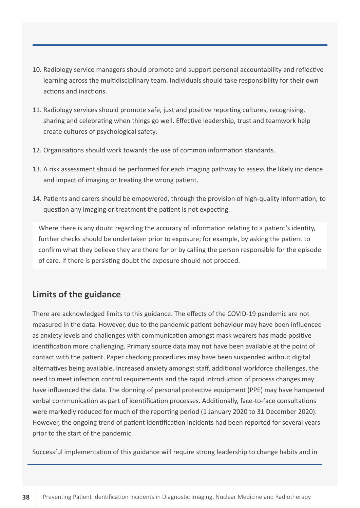- <span id="page-37-0"></span>10. Radiology service managers should promote and support personal accountability and reflective learning across the multidisciplinary team. Individuals should take responsibility for their own actions and inactions.
- 11. Radiology services should promote safe, just and positive reporting cultures, recognising, sharing and celebrating when things go well. Effective leadership, trust and teamwork help create cultures of psychological safety.
- 12. Organisations should work towards the use of common information standards.
- 13. A risk assessment should be performed for each imaging pathway to assess the likely incidence and impact of imaging or treating the wrong patient.
- 14. Patients and carers should be empowered, through the provision of high-quality information, to question any imaging or treatment the patient is not expecting.

Where there is any doubt regarding the accuracy of information relating to a patient's identity, further checks should be undertaken prior to exposure; for example, by asking the patient to confirm what they believe they are there for or by calling the person responsible for the episode of care. If there is persisting doubt the exposure should not proceed.

# **Limits of the guidance**

There are acknowledged limits to this guidance. The effects of the COVID-19 pandemic are not measured in the data. However, due to the pandemic patient behaviour may have been influenced as anxiety levels and challenges with communication amongst mask wearers has made positive identification more challenging. Primary source data may not have been available at the point of contact with the patient. Paper checking procedures may have been suspended without digital alternatives being available. Increased anxiety amongst staff, additional workforce challenges, the need to meet infection control requirements and the rapid introduction of process changes may have influenced the data. The donning of personal protective equipment (PPE) may have hampered verbal communication as part of identification processes. Additionally, face-to-face consultations were markedly reduced for much of the reporting period (1 January 2020 to 31 December 2020). However, the ongoing trend of patient identification incidents had been reported for several years prior to the start of the pandemic.

Successful implementation of this guidance will require strong leadership to change habits and in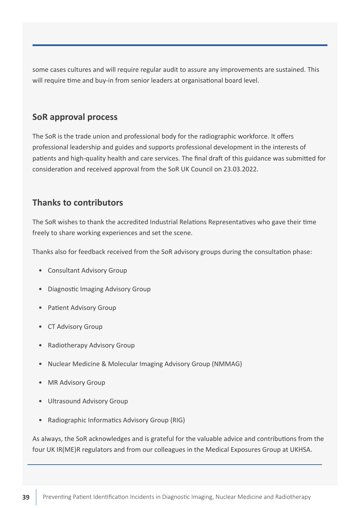<span id="page-38-0"></span>some cases cultures and will require regular audit to assure any improvements are sustained. This will require time and buy-in from senior leaders at organisational board level.

# **SoR approval process**

The SoR is the trade union and professional body for the radiographic workforce. It offers professional leadership and guides and supports professional development in the interests of patients and high-quality health and care services. The final draft of this guidance was submitted for consideration and received approval from the SoR UK Council on 23.03.2022.

### **Thanks to contributors**

The SoR wishes to thank the accredited Industrial Relations Representatives who gave their time freely to share working experiences and set the scene.

Thanks also for feedback received from the SoR advisory groups during the consultation phase:

- Consultant Advisory Group
- Diagnostic Imaging Advisory Group
- Patient Advisory Group
- CT Advisory Group
- Radiotherapy Advisory Group
- Nuclear Medicine & Molecular Imaging Advisory Group (NMMAG)
- MR Advisory Group
- Ultrasound Advisory Group
- Radiographic Informatics Advisory Group (RIG)

As always, the SoR acknowledges and is grateful for the valuable advice and contributions from the four UK IR(ME)R regulators and from our colleagues in the Medical Exposures Group at UKHSA.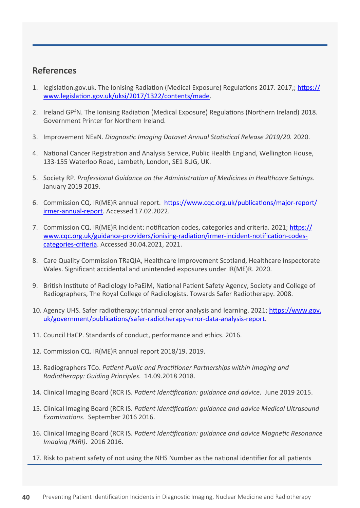### <span id="page-39-0"></span>**References**

- 1. legislation.gov.uk. The Ionising Radiation (Medical Exposure) Regulations 2017. 2017,; [https://](https://www.legislation.gov.uk/uksi/2017/1322/contents/made) [www.legislation.gov.uk/uksi/2017/1322/contents/made](https://www.legislation.gov.uk/uksi/2017/1322/contents/made).
- 2. Ireland GPfN. The Ionising Radiation (Medical Exposure) Regulations (Northern Ireland) 2018. Government Printer for Northern Ireland.
- 3. Improvement NEaN. *Diagnostic Imaging Dataset Annual Statistical Release 2019/20.* 2020.
- 4. National Cancer Registration and Analysis Service, Public Health England, Wellington House, 133-155 Waterloo Road, Lambeth, London, SE1 8UG, UK.
- 5. Society RP. *Professional Guidance on the Administration of Medicines in Healthcare Settings*. January 2019 2019.
- 6. Commission CQ. IR(ME)R annual report. [https://www.cqc.org.uk/publications/major-report/](https://www.cqc.org.uk/publications/major-report/irmer-annual-report) [irmer-annual-report.](https://www.cqc.org.uk/publications/major-report/irmer-annual-report) Accessed 17.02.2022.
- 7. Commission CQ. IR(ME)R incident: notification codes, categories and criteria. 2021; [https://](https://www.cqc.org.uk/guidance-providers/ionising-radiation/irmer-incident-notification-codes-categories-criteria) [www.cqc.org.uk/guidance-providers/ionising-radiation/irmer-incident-notification-codes](https://www.cqc.org.uk/guidance-providers/ionising-radiation/irmer-incident-notification-codes-categories-criteria)[categories-criteria](https://www.cqc.org.uk/guidance-providers/ionising-radiation/irmer-incident-notification-codes-categories-criteria). Accessed 30.04.2021, 2021.
- 8. Care Quality Commission TRaQIA, Healthcare Improvement Scotland, Healthcare Inspectorate Wales. Significant accidental and unintended exposures under IR(ME)R. 2020.
- 9. British Institute of Radiology IoPaEiM, National Patient Safety Agency, Society and College of Radiographers, The Royal College of Radiologists. Towards Safer Radiotherapy. 2008.
- 10. Agency UHS. Safer radiotherapy: triannual error analysis and learning. 2021; [https://www.gov.](https://www.gov.uk/government/publications/safer-radiotherapy-error-data-analysis-report) [uk/government/publications/safer-radiotherapy-error-data-analysis-report](https://www.gov.uk/government/publications/safer-radiotherapy-error-data-analysis-report).
- 11. Council HaCP. Standards of conduct, performance and ethics. 2016.
- 12. Commission CQ. IR(ME)R annual report 2018/19. 2019.
- 13. Radiographers TCo. *Patient Public and Practitioner Partnerships within Imaging and Radiotherapy: Guiding Principles*. 14.09.2018 2018.
- 14. Clinical Imaging Board (RCR IS. *Patient Identification: guidance and advice*. June 2019 2015.
- 15. Clinical Imaging Board (RCR IS. *Patient Identification: guidance and advice Medical Ultrasound Examinations*. September 2016 2016.
- 16. Clinical Imaging Board (RCR IS. *Patient Identification: guidance and advice Magnetic Resonance Imaging (MRI)*. 2016 2016.
- 17. Risk to patient safety of not using the NHS Number as the national identifier for all patients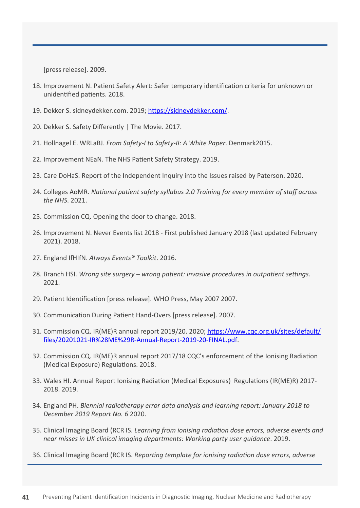[press release]. 2009.

- 18. Improvement N. Patient Safety Alert: Safer temporary identification criteria for unknown or unidentified patients. 2018.
- 19. Dekker S. sidneydekker.com. 2019;<https://sidneydekker.com/>.
- 20. Dekker S. Safety Differently | The Movie. 2017.
- 21. Hollnagel E. WRLaBJ. *From Safety-I to Safety-II: A White Paper*. Denmark2015.
- 22. Improvement NEaN. The NHS Patient Safety Strategy. 2019.
- 23. Care DoHaS. Report of the Independent Inquiry into the Issues raised by Paterson. 2020.
- 24. Colleges AoMR. *National patient safety syllabus 2.0 Training for every member of staff across the NHS*. 2021.
- 25. Commission CQ. Opening the door to change. 2018.
- 26. Improvement N. Never Events list 2018 First published January 2018 (last updated February 2021). 2018.
- 27. England IfHIfN. *Always Events® Toolkit*. 2016.
- 28. Branch HSI. *Wrong site surgery wrong patient: invasive procedures in outpatient settings*. 2021.
- 29. Patient Identification [press release]. WHO Press, May 2007 2007.
- 30. Communication During Patient Hand-Overs [press release]. 2007.
- 31. Commission CQ. IR(ME)R annual report 2019/20. 2020; [https://www.cqc.org.uk/sites/default/](https://www.cqc.org.uk/sites/default/files/20201021-IR%28ME%29R-Annual-Report-2019-20-FINAL.pdf) [files/20201021-IR%28ME%29R-Annual-Report-2019-20-FINAL.pdf](https://www.cqc.org.uk/sites/default/files/20201021-IR%28ME%29R-Annual-Report-2019-20-FINAL.pdf).
- 32. Commission CQ. IR(ME)R annual report 2017/18 CQC's enforcement of the Ionising Radiation (Medical Exposure) Regulations. 2018.
- 33. Wales HI. Annual Report Ionising Radiation (Medical Exposures) Regulations (IR(ME)R) 2017- 2018. 2019.
- 34. England PH. *Biennial radiotherapy error data analysis and learning report: January 2018 to December 2019 Report No. 6* 2020.
- 35. Clinical Imaging Board (RCR IS. *Learning from ionising radiation dose errors, adverse events and near misses in UK clinical imaging departments: Working party user guidance*. 2019.
- 36. Clinical Imaging Board (RCR IS. *Reporting template for ionising radiation dose errors, adverse*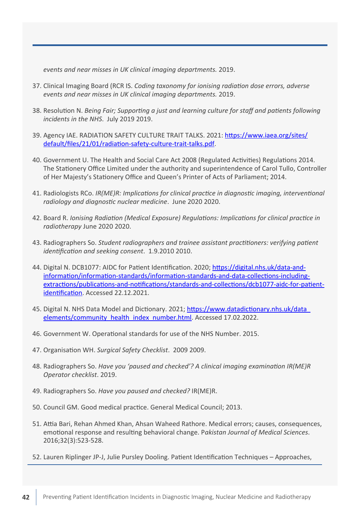*events and near misses in UK clinical imaging departments.* 2019.

- 37. Clinical Imaging Board (RCR IS. *Coding taxonomy for ionising radiation dose errors, adverse events and near misses in UK clinical imaging departments.* 2019.
- 38. Resolution N. *Being Fair; Supporting a just and learning culture for staff and patients following incidents in the NHS*. July 2019 2019.
- 39. Agency IAE. RADIATION SAFETY CULTURE TRAIT TALKS. 2021: [https://www.iaea.org/sites/](https://www.iaea.org/sites/default/files/21/01/radiation-safety-culture-trait-talks.pdf) [default/files/21/01/radiation-safety-culture-trait-talks.pdf](https://www.iaea.org/sites/default/files/21/01/radiation-safety-culture-trait-talks.pdf).
- 40. Government U. The Health and Social Care Act 2008 (Regulated Activities) Regulations 2014. The Stationery Office Limited under the authority and superintendence of Carol Tullo, Controller of Her Majesty's Stationery Office and Queen's Printer of Acts of Parliament; 2014.
- 41. Radiologists RCo. *IR(ME)R: Implications for clinical practice in diagnostic imaging, interventional radiology and diagnostic nuclear medicine*. June 2020 2020.
- 42. Board R. *Ionising Radiation (Medical Exposure) Regulations: Implications for clinical practice in radiotherapy* June 2020 2020.
- 43. Radiographers So. *Student radiographers and trainee assistant practitioners: verifying patient identification and seeking consent*. 1.9.2010 2010.
- 44. Digital N. DCB1077: AIDC for Patient Identification. 2020; [https://digital.nhs.uk/data-and](https://digital.nhs.uk/data-and-information/information-standards/information-standards-and-data-collections-including-extractions/publications-and-notifications/standards-and-collections/dcb1077-aidc-for-patient-identification)[information/information-standards/information-standards-and-data-collections-including](https://digital.nhs.uk/data-and-information/information-standards/information-standards-and-data-collections-including-extractions/publications-and-notifications/standards-and-collections/dcb1077-aidc-for-patient-identification)[extractions/publications-and-notifications/standards-and-collections/dcb1077-aidc-for-patient](https://digital.nhs.uk/data-and-information/information-standards/information-standards-and-data-collections-including-extractions/publications-and-notifications/standards-and-collections/dcb1077-aidc-for-patient-identification)[identification](https://digital.nhs.uk/data-and-information/information-standards/information-standards-and-data-collections-including-extractions/publications-and-notifications/standards-and-collections/dcb1077-aidc-for-patient-identification). Accessed 22.12.2021.
- 45. Digital N. NHS Data Model and Dictionary. 2021; [https://www.datadictionary.nhs.uk/data\\_](https://www.datadictionary.nhs.uk/data_elements/community_health_index_number.html) [elements/community\\_health\\_index\\_number.html.](https://www.datadictionary.nhs.uk/data_elements/community_health_index_number.html) Accessed 17.02.2022.
- 46. Government W. Operational standards for use of the NHS Number. 2015.
- 47. Organisation WH. *Surgical Safety Checklist*. 2009 2009.
- 48. Radiographers So. *Have you 'paused and checked'? A clinical imaging examination IR(ME)R Operator checklist*. 2019.
- 49. Radiographers So. *Have you paused and checked?* IR(ME)R.
- 50. Council GM. Good medical practice. General Medical Council; 2013.
- 51. Attia Bari, Rehan Ahmed Khan, Ahsan Waheed Rathore. Medical errors; causes, consequences, emotional response and resulting behavioral change. P*akistan Journal of Medical Sciences*. 2016;32(3):523-528.
- 52. Lauren Riplinger JP-J, Julie Pursley Dooling. Patient Identification Techniques Approaches,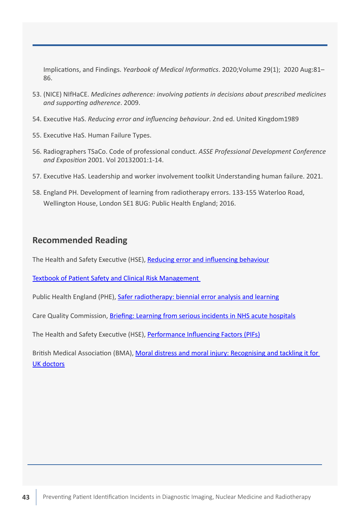<span id="page-42-0"></span>Implications, and Findings. *Yearbook of Medical Informatics*. 2020;Volume 29(1); 2020 Aug:81– 86.

- 53. (NICE) NIfHaCE. *Medicines adherence: involving patients in decisions about prescribed medicines and supporting adherence*. 2009.
- 54. Executive HaS. *Reducing error and influencing behaviour*. 2nd ed. United Kingdom1989
- 55. Executive HaS. Human Failure Types.
- 56. Radiographers TSaCo. Code of professional conduct. *ASSE Professional Development Conference and Exposition* 2001. Vol 20132001:1-14.
- 57. Executive HaS. Leadership and worker involvement toolkit Understanding human failure. 2021.
- 58. England PH. Development of learning from radiotherapy errors. 133-155 Waterloo Road, Wellington House, London SE1 8UG: Public Health England; 2016.

#### **Recommended Reading**

The Health and Safety Executive (HSE), [Reducing error and influencing behaviour](https://www.hse.gov.uk/pubns/books/hsg48.htm)

[Textbook of Patient Safety and Clinical Risk Management](https://link.springer.com/book/10.1007/978-3-030-59403-9) 

Public Health England (PHE), [Safer radiotherapy: biennial error analysis and learning](https://www.gov.uk/government/publications/radiotherapy-errors-and-near-misses-data-report#history)

Care Quality Commission, [Briefing: Learning from serious incidents in NHS acute hospitals](https://www.cqc.org.uk/publications/themed-work/briefing-learning-serious-incidents-nhs-acute-hospitals)

The Health and Safety Executive (HSE), [Performance Influencing Factors \(PIFs\)](https://www.hse.gov.uk/humanfactors/topics/pifs.pdf)

British Medical Association (BMA), [Moral distress and moral injury: Recognising and tackling it for](https://www.bma.org.uk/media/4209/bma-moral-distress-injury-survey-report-june-2021.pdf)  [UK doctors](https://www.bma.org.uk/media/4209/bma-moral-distress-injury-survey-report-june-2021.pdf)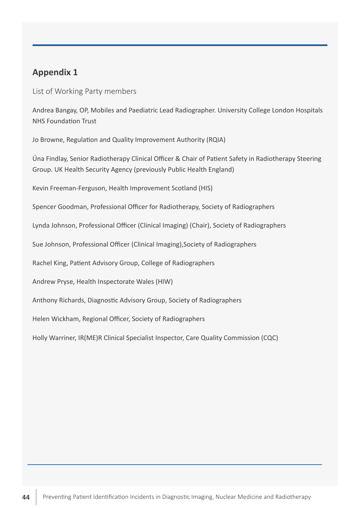### <span id="page-43-0"></span>**Appendix 1**

List of Working Party members

Andrea Bangay, OP, Mobiles and Paediatric Lead Radiographer. University College London Hospitals NHS Foundation Trust

Jo Browne, Regulation and Quality Improvement Authority (RQIA)

Úna Findlay, Senior Radiotherapy Clinical Officer & Chair of Patient Safety in Radiotherapy Steering Group. UK Health Security Agency (previously Public Health England)

Kevin Freeman-Ferguson, Health Improvement Scotland (HIS)

Spencer Goodman, Professional Officer for Radiotherapy, Society of Radiographers

Lynda Johnson, Professional Officer (Clinical Imaging) (Chair), Society of Radiographers

Sue Johnson, Professional Officer (Clinical Imaging),Society of Radiographers

Rachel King, Patient Advisory Group, College of Radiographers

Andrew Pryse, Health Inspectorate Wales (HIW)

Anthony Richards, Diagnostic Advisory Group, Society of Radiographers

Helen Wickham, Regional Officer, Society of Radiographers

Holly Warriner, IR(ME)R Clinical Specialist Inspector, Care Quality Commission (CQC)